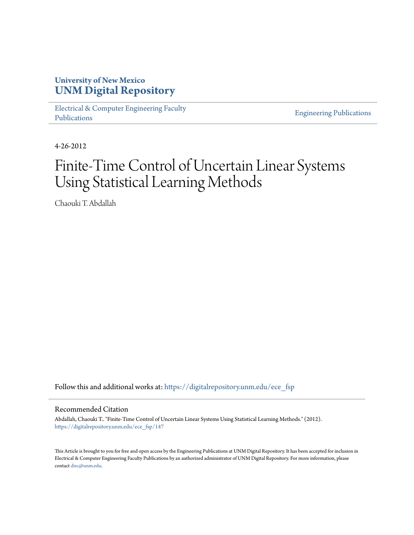## **University of New Mexico [UNM Digital Repository](https://digitalrepository.unm.edu?utm_source=digitalrepository.unm.edu%2Fece_fsp%2F147&utm_medium=PDF&utm_campaign=PDFCoverPages)**

[Electrical & Computer Engineering Faculty](https://digitalrepository.unm.edu/ece_fsp?utm_source=digitalrepository.unm.edu%2Fece_fsp%2F147&utm_medium=PDF&utm_campaign=PDFCoverPages) [Publications](https://digitalrepository.unm.edu/ece_fsp?utm_source=digitalrepository.unm.edu%2Fece_fsp%2F147&utm_medium=PDF&utm_campaign=PDFCoverPages)

[Engineering Publications](https://digitalrepository.unm.edu/eng_fsp?utm_source=digitalrepository.unm.edu%2Fece_fsp%2F147&utm_medium=PDF&utm_campaign=PDFCoverPages)

4-26-2012

# Finite-Time Control of Uncertain Linear Systems Using Statistical Learning Methods

Chaouki T. Abdallah

Follow this and additional works at: [https://digitalrepository.unm.edu/ece\\_fsp](https://digitalrepository.unm.edu/ece_fsp?utm_source=digitalrepository.unm.edu%2Fece_fsp%2F147&utm_medium=PDF&utm_campaign=PDFCoverPages)

Recommended Citation

Abdallah, Chaouki T.. "Finite-Time Control of Uncertain Linear Systems Using Statistical Learning Methods." (2012). [https://digitalrepository.unm.edu/ece\\_fsp/147](https://digitalrepository.unm.edu/ece_fsp/147?utm_source=digitalrepository.unm.edu%2Fece_fsp%2F147&utm_medium=PDF&utm_campaign=PDFCoverPages)

This Article is brought to you for free and open access by the Engineering Publications at UNM Digital Repository. It has been accepted for inclusion in Electrical & Computer Engineering Faculty Publications by an authorized administrator of UNM Digital Repository. For more information, please contact [disc@unm.edu.](mailto:disc@unm.edu)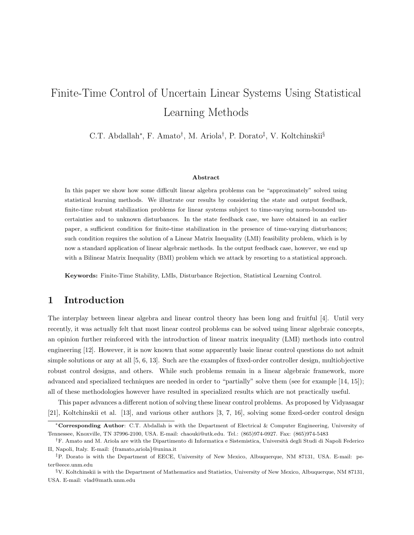## Finite-Time Control of Uncertain Linear Systems Using Statistical Learning Methods

C.T. Abdallah<sup>∗</sup>, F. Amato<sup>†</sup>, M. Ariola<sup>†</sup>, P. Dorato<sup>‡</sup>, V. Koltchinskii<sup>§</sup>

#### Abstract

In this paper we show how some difficult linear algebra problems can be "approximately" solved using statistical learning methods. We illustrate our results by considering the state and output feedback, finite-time robust stabilization problems for linear systems subject to time-varying norm-bounded uncertainties and to unknown disturbances. In the state feedback case, we have obtained in an earlier paper, a sufficient condition for finite-time stabilization in the presence of time-varying disturbances; such condition requires the solution of a Linear Matrix Inequality (LMI) feasibility problem, which is by now a standard application of linear algebraic methods. In the output feedback case, however, we end up with a Bilinear Matrix Inequality (BMI) problem which we attack by resorting to a statistical approach.

Keywords: Finite-Time Stability, LMIs, Disturbance Rejection, Statistical Learning Control.

## 1 Introduction

The interplay between linear algebra and linear control theory has been long and fruitful [4]. Until very recently, it was actually felt that most linear control problems can be solved using linear algebraic concepts, an opinion further reinforced with the introduction of linear matrix inequality (LMI) methods into control engineering [12]. However, it is now known that some apparently basic linear control questions do not admit simple solutions or any at all [5, 6, 13]. Such are the examples of fixed-order controller design, multiobjective robust control designs, and others. While such problems remain in a linear algebraic framework, more advanced and specialized techniques are needed in order to "partially" solve them (see for example [14, 15]); all of these methodologies however have resulted in specialized results which are not practically useful.

This paper advances a different notion of solving these linear control problems. As proposed by Vidyasagar [21], Koltchinskii et al. [13], and various other authors [3, 7, 16], solving some fixed-order control design

<sup>∗</sup>Corresponding Author: C.T. Abdallah is with the Department of Electrical & Computer Engineering, University of Tennessee, Knoxville, TN 37996-2100, USA. E-mail: chaouki@utk.edu. Tel.: (865)974-0927. Fax: (865)974-5483

<sup>&</sup>lt;sup>†</sup>F. Amato and M. Ariola are with the Dipartimento di Informatica e Sistemistica, Università degli Studi di Napoli Federico II, Napoli, Italy. E-mail: {framato,ariola}@unina.it

<sup>‡</sup>P. Dorato is with the Department of EECE, University of New Mexico, Albuquerque, NM 87131, USA. E-mail: peter@eece.unm.edu

<sup>§</sup>V. Koltchinskii is with the Department of Mathematics and Statistics, University of New Mexico, Albuquerque, NM 87131, USA. E-mail: vlad@math.unm.edu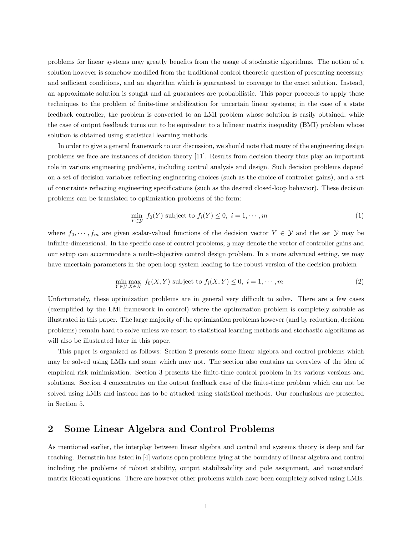problems for linear systems may greatly benefits from the usage of stochastic algorithms. The notion of a solution however is somehow modified from the traditional control theoretic question of presenting necessary and sufficient conditions, and an algorithm which is guaranteed to converge to the exact solution. Instead, an approximate solution is sought and all guarantees are probabilistic. This paper proceeds to apply these techniques to the problem of finite-time stabilization for uncertain linear systems; in the case of a state feedback controller, the problem is converted to an LMI problem whose solution is easily obtained, while the case of output feedback turns out to be equivalent to a bilinear matrix inequality (BMI) problem whose solution is obtained using statistical learning methods.

In order to give a general framework to our discussion, we should note that many of the engineering design problems we face are instances of decision theory [11]. Results from decision theory thus play an important role in various engineering problems, including control analysis and design. Such decision problems depend on a set of decision variables reflecting engineering choices (such as the choice of controller gains), and a set of constraints reflecting engineering specifications (such as the desired closed-loop behavior). These decision problems can be translated to optimization problems of the form:

$$
\min_{Y \in \mathcal{Y}} f_0(Y) \text{ subject to } f_i(Y) \le 0, \ i = 1, \cdots, m
$$
\n<sup>(1)</sup>

where  $f_0, \dots, f_m$  are given scalar-valued functions of the decision vector  $Y \in \mathcal{Y}$  and the set  $\mathcal{Y}$  may be infinite-dimensional. In the specific case of control problems,  $y$  may denote the vector of controller gains and our setup can accommodate a multi-objective control design problem. In a more advanced setting, we may have uncertain parameters in the open-loop system leading to the robust version of the decision problem

$$
\min_{Y \in \mathcal{Y}} \max_{X \in \mathcal{X}} f_0(X, Y) \text{ subject to } f_i(X, Y) \le 0, \ i = 1, \cdots, m
$$
\n
$$
(2)
$$

Unfortunately, these optimization problems are in general very difficult to solve. There are a few cases (exemplified by the LMI framework in control) where the optimization problem is completely solvable as illustrated in this paper. The large majority of the optimization problems however (and by reduction, decision problems) remain hard to solve unless we resort to statistical learning methods and stochastic algorithms as will also be illustrated later in this paper.

This paper is organized as follows: Section 2 presents some linear algebra and control problems which may be solved using LMIs and some which may not. The section also contains an overview of the idea of empirical risk minimization. Section 3 presents the finite-time control problem in its various versions and solutions. Section 4 concentrates on the output feedback case of the finite-time problem which can not be solved using LMIs and instead has to be attacked using statistical methods. Our conclusions are presented in Section 5.

### 2 Some Linear Algebra and Control Problems

As mentioned earlier, the interplay between linear algebra and control and systems theory is deep and far reaching. Bernstein has listed in [4] various open problems lying at the boundary of linear algebra and control including the problems of robust stability, output stabilizability and pole assignment, and nonstandard matrix Riccati equations. There are however other problems which have been completely solved using LMIs.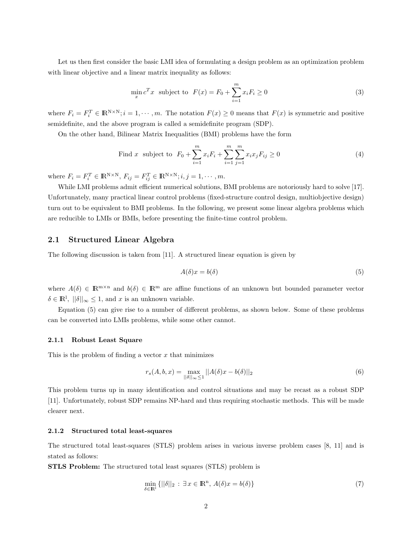Let us then first consider the basic LMI idea of formulating a design problem as an optimization problem with linear objective and a linear matrix inequality as follows:

$$
\min_{x} c^{T} x \text{ subject to } F(x) = F_0 + \sum_{i=1}^{m} x_i F_i \ge 0
$$
\n(3)

where  $F_i = F_i^T \in \mathbb{R}^{N \times N}; i = 1, \dots, m$ . The notation  $F(x) \geq 0$  means that  $F(x)$  is symmetric and positive semidefinite, and the above program is called a semidefinite program (SDP).

On the other hand, Bilinear Matrix Inequalities (BMI) problems have the form

Find x subject to 
$$
F_0 + \sum_{i=1}^{m} x_i F_i + \sum_{i=1}^{m} \sum_{j=1}^{m} x_i x_j F_{ij} \ge 0
$$
 (4)

where  $F_i = F_i^T \in \mathbb{R}^{N \times N}$ ,  $F_{ij} = F_{ij}^T \in \mathbb{R}^{N \times N}$ ;  $i, j = 1, \dots, m$ .

While LMI problems admit efficient numerical solutions, BMI problems are notoriously hard to solve [17]. Unfortunately, many practical linear control problems (fixed-structure control design, multiobjective design) turn out to be equivalent to BMI problems. In the following, we present some linear algebra problems which are reducible to LMIs or BMIs, before presenting the finite-time control problem.

#### 2.1 Structured Linear Algebra

The following discussion is taken from [11]. A structured linear equation is given by

$$
A(\delta)x = b(\delta) \tag{5}
$$

where  $A(\delta) \in \mathbb{R}^{m \times n}$  and  $b(\delta) \in \mathbb{R}^m$  are affine functions of an unknown but bounded parameter vector  $\delta \in \mathbb{R}^l$ ,  $||\delta||_{\infty} \leq 1$ , and x is an unknown variable.

Equation (5) can give rise to a number of different problems, as shown below. Some of these problems can be converted into LMIs problems, while some other cannot.

#### 2.1.1 Robust Least Square

This is the problem of finding a vector  $x$  that minimizes

$$
r_s(A, b, x) = \max_{||\delta||_{\infty} \le 1} ||A(\delta)x - b(\delta)||_2
$$
\n(6)

This problem turns up in many identification and control situations and may be recast as a robust SDP [11]. Unfortunately, robust SDP remains NP-hard and thus requiring stochastic methods. This will be made clearer next.

#### 2.1.2 Structured total least-squares

The structured total least-squares (STLS) problem arises in various inverse problem cases [8, 11] and is stated as follows:

STLS Problem: The structured total least squares (STLS) problem is

$$
\min_{\delta \in \mathbb{R}^1} \{ ||\delta||_2 : \exists x \in \mathbb{R}^n, A(\delta)x = b(\delta) \}
$$
\n<sup>(7)</sup>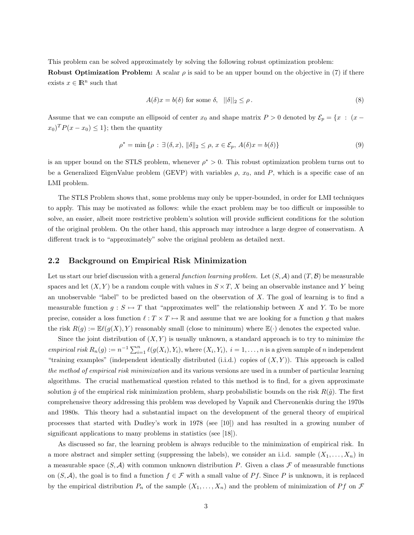This problem can be solved approximately by solving the following robust optimization problem:

Robust Optimization Problem: A scalar  $\rho$  is said to be an upper bound on the objective in (7) if there exists  $x \in \mathbb{R}^n$  such that

$$
A(\delta)x = b(\delta) \text{ for some } \delta, \quad ||\delta||_2 \le \rho. \tag{8}
$$

Assume that we can compute an ellipsoid of center  $x_0$  and shape matrix P > 0 denoted by  $\mathcal{E}_p = \{x : (x - a)\}$  $(x_0)^T P(x - x_0) \leq 1$ ; then the quantity

$$
\rho^* = \min \{ \rho : \exists (\delta, x), \|\delta\|_2 \le \rho, x \in \mathcal{E}_p, A(\delta)x = b(\delta) \}
$$
\n(9)

is an upper bound on the STLS problem, whenever  $\rho^* > 0$ . This robust optimization problem turns out to be a Generalized EigenValue problem (GEVP) with variables  $\rho$ ,  $x_0$ , and P, which is a specific case of an LMI problem.

The STLS Problem shows that, some problems may only be upper-bounded, in order for LMI techniques to apply. This may be motivated as follows: while the exact problem may be too difficult or impossible to solve, an easier, albeit more restrictive problem's solution will provide sufficient conditions for the solution of the original problem. On the other hand, this approach may introduce a large degree of conservatism. A different track is to "approximately" solve the original problem as detailed next.

#### 2.2 Background on Empirical Risk Minimization

Let us start our brief discussion with a general function learning problem. Let  $(S, \mathcal{A})$  and  $(T, \mathcal{B})$  be measurable spaces and let  $(X, Y)$  be a random couple with values in  $S \times T$ , X being an observable instance and Y being an unobservable "label" to be predicted based on the observation of  $X$ . The goal of learning is to find a measurable function  $g : S \rightarrow T$  that "approximates well" the relationship between X and Y. To be more precise, consider a loss function  $\ell : T \times T \to \mathbb{R}$  and assume that we are looking for a function g that makes the risk  $R(g) := \mathbb{E}\ell(g(X), Y)$  reasonably small (close to minimum) where  $\mathbb{E}(\cdot)$  denotes the expected value.

Since the joint distribution of  $(X, Y)$  is usually unknown, a standard approach is to try to minimize the empirical risk  $R_n(g) := n^{-1} \sum_{i=1}^n \ell(g(X_i), Y_i)$ , where  $(X_i, Y_i)$ ,  $i = 1, ..., n$  is a given sample of n independent "training examples" (independent identically distributed (i.i.d.) copies of  $(X, Y)$ ). This approach is called the method of empirical risk minimization and its various versions are used in a number of particular learning algorithms. The crucial mathematical question related to this method is to find, for a given approximate solution  $\hat{g}$  of the empirical risk minimization problem, sharp probabilistic bounds on the risk  $R(\hat{g})$ . The first comprehensive theory addressing this problem was developed by Vapnik and Chervonenkis during the 1970s and 1980s. This theory had a substantial impact on the development of the general theory of empirical processes that started with Dudley's work in 1978 (see [10]) and has resulted in a growing number of significant applications to many problems in statistics (see [18]).

As discussed so far, the learning problem is always reducible to the minimization of empirical risk. In a more abstract and simpler setting (suppressing the labels), we consider an i.i.d. sample  $(X_1, \ldots, X_n)$  in a measurable space  $(S, \mathcal{A})$  with common unknown distribution P. Given a class F of measurable functions on  $(S, \mathcal{A})$ , the goal is to find a function  $f \in \mathcal{F}$  with a small value of Pf. Since P is unknown, it is replaced by the empirical distribution  $P_n$  of the sample  $(X_1, \ldots, X_n)$  and the problem of minimization of Pf on F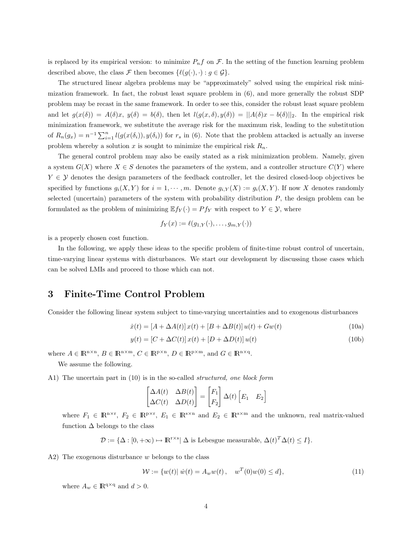is replaced by its empirical version: to minimize  $P_n f$  on  $\mathcal F$ . In the setting of the function learning problem described above, the class F then becomes  $\{\ell(g(\cdot), \cdot) : g \in \mathcal{G}\}.$ 

The structured linear algebra problems may be "approximately" solved using the empirical risk minimization framework. In fact, the robust least square problem in (6), and more generally the robust SDP problem may be recast in the same framework. In order to see this, consider the robust least square problem and let  $g(x(\delta)) = A(\delta)x$ ,  $y(\delta) = b(\delta)$ , then let  $l(g(x, \delta), y(\delta)) = ||A(\delta)x - b(\delta)||_2$ . In the empirical risk minimization framework, we substitute the average risk for the maximum risk, leading to the substitution of  $R_n(g_x) = n^{-1} \sum_{i=1}^n l(g(x(\delta_i)), y(\delta_i))$  for  $r_s$  in (6). Note that the problem attacked is actually an inverse problem whereby a solution x is sought to minimize the empirical risk  $R_n$ .

The general control problem may also be easily stated as a risk minimization problem. Namely, given a system  $G(X)$  where  $X \in S$  denotes the parameters of the system, and a controller structure  $C(Y)$  where  $Y \in \mathcal{Y}$  denotes the design parameters of the feedback controller, let the desired closed-loop objectives be specified by functions  $g_i(X, Y)$  for  $i = 1, \dots, m$ . Denote  $g_{i,Y}(X) := g_i(X, Y)$ . If now X denotes randomly selected (uncertain) parameters of the system with probability distribution  $P$ , the design problem can be formulated as the problem of minimizing  $\mathbb{E} f_Y(\cdot) = Pf_Y$  with respect to  $Y \in \mathcal{Y}$ , where

$$
f_Y(x) := \ell(g_{1,Y}(\cdot), \dots, g_{m,Y}(\cdot))
$$

is a properly chosen cost function.

In the following, we apply these ideas to the specific problem of finite-time robust control of uncertain, time-varying linear systems with disturbances. We start our development by discussing those cases which can be solved LMIs and proceed to those which can not.

## 3 Finite-Time Control Problem

Consider the following linear system subject to time-varying uncertainties and to exogenous disturbances

$$
\dot{x}(t) = [A + \Delta A(t)] x(t) + [B + \Delta B(t)] u(t) + Gw(t)
$$
\n(10a)

$$
y(t) = \left[C + \Delta C(t)\right]x(t) + \left[D + \Delta D(t)\right]u(t)
$$
\n(10b)

where  $A \in \mathbb{R}^{n \times n}$ ,  $B \in \mathbb{R}^{n \times m}$ ,  $C \in \mathbb{R}^{p \times n}$ ,  $D \in \mathbb{R}^{p \times m}$ , and  $G \in \mathbb{R}^{n \times q}$ .

We assume the following.

A1) The uncertain part in (10) is in the so-called structured, one block form

$$
\begin{bmatrix} \Delta A(t) & \Delta B(t) \\ \Delta C(t) & \Delta D(t) \end{bmatrix} = \begin{bmatrix} F_1 \\ F_2 \end{bmatrix} \Delta(t) \begin{bmatrix} E_1 & E_2 \end{bmatrix}
$$

where  $F_1 \in \mathbb{R}^{n \times r}$ ,  $F_2 \in \mathbb{R}^{p \times r}$ ,  $E_1 \in \mathbb{R}^{s \times n}$  and  $E_2 \in \mathbb{R}^{s \times m}$  and the unknown, real matrix-valued function  $\Delta$  belongs to the class

 $\mathcal{D} := {\Delta : [0, +\infty) \mapsto \mathbb{R}^{r \times s} | \Delta \text{ is Lebesgue measurable, } \Delta(t)^T \Delta(t) \leq I}.$ 

 $(A2)$  The exogenous disturbance w belongs to the class

$$
\mathcal{W} := \{ w(t) | \dot{w}(t) = A_w w(t), \quad w^T(0)w(0) \le d \},\tag{11}
$$

where  $A_w \in \mathbb{R}^{q \times q}$  and  $d > 0$ .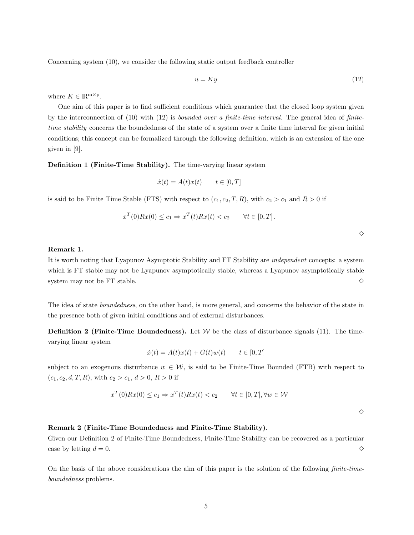Concerning system (10), we consider the following static output feedback controller

$$
u = Ky \tag{12}
$$

where  $K \in \mathbb{R}^{\mathbf{m} \times \mathbf{p}}$ .

One aim of this paper is to find sufficient conditions which guarantee that the closed loop system given by the interconnection of  $(10)$  with  $(12)$  is *bounded over a finite-time interval*. The general idea of *finite*time stability concerns the boundedness of the state of a system over a finite time interval for given initial conditions; this concept can be formalized through the following definition, which is an extension of the one given in [9].

Definition 1 (Finite-Time Stability). The time-varying linear system

$$
\dot{x}(t) = A(t)x(t) \qquad t \in [0, T]
$$

is said to be Finite Time Stable (FTS) with respect to  $(c_1, c_2, T, R)$ , with  $c_2 > c_1$  and  $R > 0$  if

$$
x^T(0)Rx(0) \le c_1 \Rightarrow x^T(t)Rx(t) < c_2 \quad \forall t \in [0, T].
$$

 $\Diamond$ 

#### Remark 1.

It is worth noting that Lyapunov Asymptotic Stability and FT Stability are independent concepts: a system which is FT stable may not be Lyapunov asymptotically stable, whereas a Lyapunov asymptotically stable system may not be FT stable.  $\Diamond$ 

The idea of state boundedness, on the other hand, is more general, and concerns the behavior of the state in the presence both of given initial conditions and of external disturbances.

**Definition 2 (Finite-Time Boundedness).** Let  $W$  be the class of disturbance signals (11). The timevarying linear system

$$
\dot{x}(t) = A(t)x(t) + G(t)w(t) \qquad t \in [0, T]
$$

subject to an exogenous disturbance  $w \in \mathcal{W}$ , is said to be Finite-Time Bounded (FTB) with respect to  $(c_1, c_2, d, T, R)$ , with  $c_2 > c_1$ ,  $d > 0$ ,  $R > 0$  if

$$
x^T(0)Rx(0) \le c_1 \Rightarrow x^T(t)Rx(t) < c_2 \qquad \forall t \in [0, T], \forall w \in \mathcal{W}
$$

 $\Diamond$ 

#### Remark 2 (Finite-Time Boundedness and Finite-Time Stability).

Given our Definition 2 of Finite-Time Boundedness, Finite-Time Stability can be recovered as a particular case by letting  $d = 0$ .

On the basis of the above considerations the aim of this paper is the solution of the following finite-timeboundedness problems.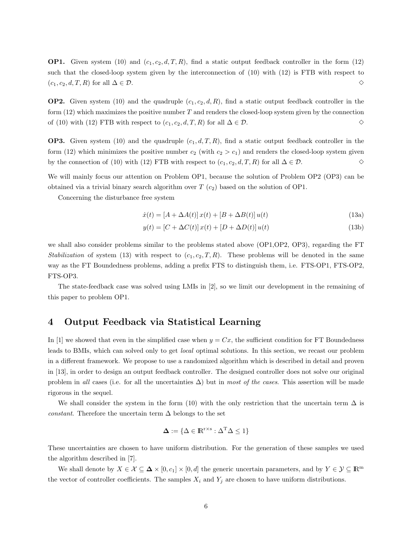**OP1.** Given system (10) and  $(c_1, c_2, d, T, R)$ , find a static output feedback controller in the form (12) such that the closed-loop system given by the interconnection of (10) with (12) is FTB with respect to  $(c_1, c_2, d, T, R)$  for all  $\Delta \in \mathcal{D}$ . <br> ◇

**OP2.** Given system (10) and the quadruple  $(c_1, c_2, d, R)$ , find a static output feedback controller in the form  $(12)$  which maximizes the positive number T and renders the closed-loop system given by the connection of (10) with (12) FTB with respect to  $(c_1, c_2, d, T, R)$  for all  $\Delta \in \mathcal{D}$ .  $\diamond$ 

**OP3.** Given system (10) and the quadruple  $(c_1, d, T, R)$ , find a static output feedback controller in the form (12) which minimizes the positive number  $c_2$  (with  $c_2 > c_1$ ) and renders the closed-loop system given by the connection of (10) with (12) FTB with respect to  $(c_1, c_2, d, T, R)$  for all  $\Delta \in \mathcal{D}$ .  $\diamond$ 

We will mainly focus our attention on Problem OP1, because the solution of Problem OP2 (OP3) can be obtained via a trivial binary search algorithm over  $T(c_2)$  based on the solution of OP1.

Concerning the disturbance free system

$$
\dot{x}(t) = [A + \Delta A(t)]x(t) + [B + \Delta B(t)]u(t)
$$
\n(13a)

$$
y(t) = [C + \Delta C(t)] x(t) + [D + \Delta D(t)] u(t)
$$
\n(13b)

we shall also consider problems similar to the problems stated above (OP1,OP2, OP3), regarding the FT Stabilization of system (13) with respect to  $(c_1, c_2, T, R)$ . These problems will be denoted in the same way as the FT Boundedness problems, adding a prefix FTS to distinguish them, i.e. FTS-OP1, FTS-OP2, FTS-OP3.

The state-feedback case was solved using LMIs in [2], so we limit our development in the remaining of this paper to problem OP1.

## 4 Output Feedback via Statistical Learning

In [1] we showed that even in the simplified case when  $y = Cx$ , the sufficient condition for FT Boundedness leads to BMIs, which can solved only to get local optimal solutions. In this section, we recast our problem in a different framework. We propose to use a randomized algorithm which is described in detail and proven in [13], in order to design an output feedback controller. The designed controller does not solve our original problem in all cases (i.e. for all the uncertainties  $\Delta$ ) but in most of the cases. This assertion will be made rigorous in the sequel.

We shall consider the system in the form (10) with the only restriction that the uncertain term  $\Delta$  is *constant.* Therefore the uncertain term  $\Delta$  belongs to the set

$$
\mathbf{\Delta} := \{ \Delta \in \mathbb{R}^{r \times s} : \Delta^T \Delta \le 1 \}
$$

These uncertainties are chosen to have uniform distribution. For the generation of these samples we used the algorithm described in [7].

We shall denote by  $X \in \mathcal{X} \subseteq \mathbf{\Delta} \times [0, c_1] \times [0, d]$  the generic uncertain parameters, and by  $Y \in \mathcal{Y} \subseteq \mathbb{R}^m$ the vector of controller coefficients. The samples  $X_i$  and  $Y_j$  are chosen to have uniform distributions.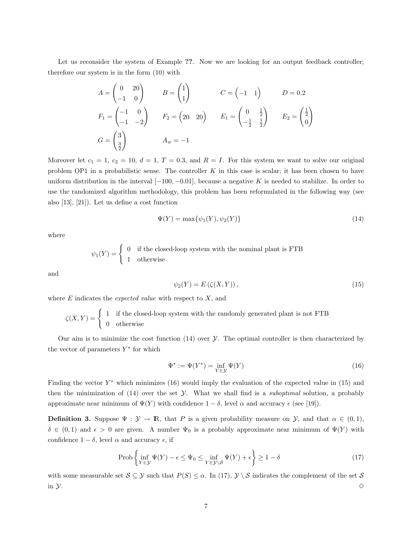Let us reconsider the system of Example ??. Now we are looking for an output feedback controller; therefore our system is in the form (10) with

$$
A = \begin{pmatrix} 0 & 20 \\ -1 & 0 \end{pmatrix} \qquad B = \begin{pmatrix} 1 \\ 1 \end{pmatrix} \qquad C = \begin{pmatrix} -1 & 1 \end{pmatrix} \qquad D = 0.2
$$
  
\n
$$
F_1 = \begin{pmatrix} -1 & 0 \\ -1 & -2 \end{pmatrix} \qquad F_2 = \begin{pmatrix} 20 & 20 \end{pmatrix} \qquad E_1 = \begin{pmatrix} 0 & \frac{1}{2} \\ -\frac{1}{2} & \frac{1}{2} \end{pmatrix} \qquad E_2 = \begin{pmatrix} \frac{1}{2} \\ 0 \end{pmatrix}
$$
  
\n
$$
G = \begin{pmatrix} 3 \\ \frac{3}{2} \end{pmatrix} \qquad A_w = -1
$$

Moreover let  $c_1 = 1, c_2 = 10, d = 1, T = 0.3$ , and  $R = I$ . For this system we want to solve our original problem OP1 in a probabilistic sense. The controller K in this case is scalar; it has been chosen to have uniform distribution in the interval  $[-100, -0.01]$ , because a negative K is needed to stabilize. In order to use the randomized algorithm methodology, this problem has been reformulated in the following way (see also [13], [21]). Let us define a cost function

$$
\Psi(Y) = \max\{\psi_1(Y), \psi_2(Y)\}\tag{14}
$$

where

$$
\psi_1(Y)=\left\{\begin{array}{ll} 0 & \text{if the closed-loop system with the nominal plant is FTB} \\ 1 & \text{otherwise} \end{array} \right.
$$

and

$$
\psi_2(Y) = E\left(\zeta(X, Y)\right),\tag{15}
$$

where  $E$  indicates the *expected value* with respect to  $X$ , and

$$
\zeta(X,Y) = \begin{cases} 1 & \text{if the closed-loop system with the randomly generated plant is not FTB} \\ 0 & \text{otherwise} \end{cases}
$$

Our aim is to minimize the cost function  $(14)$  over  $\mathcal Y$ . The optimal controller is then characterized by the vector of parameters  $Y^*$  for which

$$
\Psi^* := \Psi(Y^*) = \inf_{Y \in \mathcal{Y}} \Psi(Y) \tag{16}
$$

Finding the vector  $Y^*$  which minimizes (16) would imply the evaluation of the expected value in (15) and then the minimization of  $(14)$  over the set  $\mathcal Y$ . What we shall find is a *suboptimal* solution, a probably approximate near minimum of  $\Psi(Y)$  with confidence  $1 - \delta$ , level  $\alpha$  and accuracy  $\epsilon$  (see [19]).

**Definition 3.** Suppose  $\Psi : \mathcal{Y} \to \mathbb{R}$ , that P is a given probability measure on  $\mathcal{Y}$ , and that  $\alpha \in (0,1)$ ,  $\delta \in (0,1)$  and  $\epsilon > 0$  are given. A number  $\Psi_0$  is a probably approximate near minimum of  $\Psi(Y)$  with confidence  $1 - \delta$ , level  $\alpha$  and accuracy  $\epsilon$ , if

$$
\text{Prob}\left\{\inf_{Y\in\mathcal{Y}}\Psi(Y)-\epsilon\le\Psi_0\le\inf_{Y\in\mathcal{Y}\backslash\mathcal{S}}\Psi(Y)+\epsilon\right\}\ge1-\delta\tag{17}
$$

with some measurable set  $S \subseteq \mathcal{Y}$  such that  $P(S) \leq \alpha$ . In (17),  $\mathcal{Y} \setminus \mathcal{S}$  indicates the complement of the set S in y.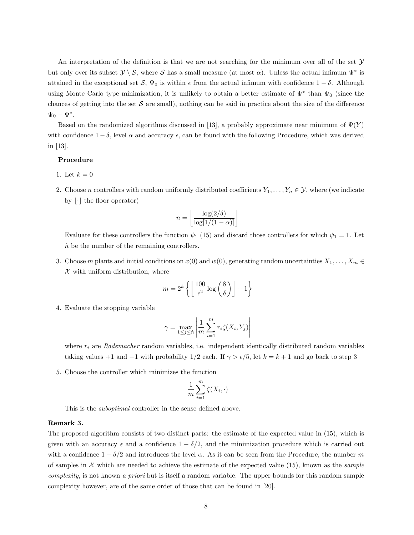An interpretation of the definition is that we are not searching for the minimum over all of the set  $\mathcal Y$ but only over its subset  $\mathcal{Y} \setminus \mathcal{S}$ , where S has a small measure (at most  $\alpha$ ). Unless the actual infimum  $\Psi^*$  is attained in the exceptional set S,  $\Psi_0$  is within  $\epsilon$  from the actual infimum with confidence  $1 - \delta$ . Although using Monte Carlo type minimization, it is unlikely to obtain a better estimate of  $\Psi^*$  than  $\Psi_0$  (since the chances of getting into the set  $S$  are small), nothing can be said in practice about the size of the difference  $\Psi_0 - \Psi^*$ .

Based on the randomized algorithms discussed in [13], a probably approximate near minimum of  $\Psi(Y)$ with confidence  $1 - \delta$ , level  $\alpha$  and accuracy  $\epsilon$ , can be found with the following Procedure, which was derived in [13].

#### Procedure

- 1. Let  $k = 0$
- 2. Choose *n* controllers with random uniformly distributed coefficients  $Y_1, \ldots, Y_n \in \mathcal{Y}$ , where (we indicate by  $\lfloor \cdot \rfloor$  the floor operator)

$$
n = \left\lfloor \frac{\log(2/\delta)}{\log[1/(1-\alpha)]} \right\rfloor
$$

Evaluate for these controllers the function  $\psi_1$  (15) and discard those controllers for which  $\psi_1 = 1$ . Let  $\hat{n}$  be the number of the remaining controllers.

3. Choose m plants and initial conditions on  $x(0)$  and  $w(0)$ , generating random uncertainties  $X_1, \ldots, X_m \in$  $X$  with uniform distribution, where

$$
m = 2^{k} \left\{ \left\lfloor \frac{100}{\epsilon^2} \log \left( \frac{8}{\delta} \right) \right\rfloor + 1 \right\}
$$

4. Evaluate the stopping variable

$$
\gamma = \max_{1 \le j \le \hat{n}} \left| \frac{1}{m} \sum_{i=1}^m r_i \zeta(X_i, Y_j) \right|
$$

where  $r_i$  are Rademacher random variables, i.e. independent identically distributed random variables taking values +1 and -1 with probability  $1/2$  each. If  $\gamma > \epsilon/5$ , let  $k = k + 1$  and go back to step 3

5. Choose the controller which minimizes the function

$$
\frac{1}{m} \sum_{i=1}^{m} \zeta(X_i, \cdot)
$$

This is the *suboptimal* controller in the sense defined above.

#### Remark 3.

The proposed algorithm consists of two distinct parts: the estimate of the expected value in (15), which is given with an accuracy  $\epsilon$  and a confidence  $1 - \delta/2$ , and the minimization procedure which is carried out with a confidence  $1 - \delta/2$  and introduces the level  $\alpha$ . As it can be seen from the Procedure, the number m of samples in  $\mathcal X$  which are needed to achieve the estimate of the expected value (15), known as the *sample* complexity, is not known a priori but is itself a random variable. The upper bounds for this random sample complexity however, are of the same order of those that can be found in [20].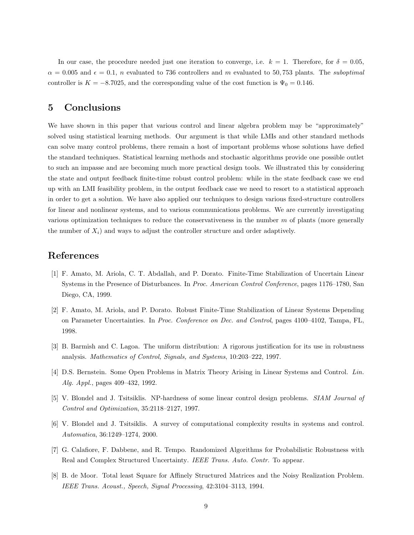In our case, the procedure needed just one iteration to converge, i.e.  $k = 1$ . Therefore, for  $\delta = 0.05$ ,  $\alpha = 0.005$  and  $\epsilon = 0.1$ , n evaluated to 736 controllers and m evaluated to 50,753 plants. The *suboptimal* controller is  $K = -8.7025$ , and the corresponding value of the cost function is  $\Psi_0 = 0.146$ .

## 5 Conclusions

We have shown in this paper that various control and linear algebra problem may be "approximately" solved using statistical learning methods. Our argument is that while LMIs and other standard methods can solve many control problems, there remain a host of important problems whose solutions have defied the standard techniques. Statistical learning methods and stochastic algorithms provide one possible outlet to such an impasse and are becoming much more practical design tools. We illustrated this by considering the state and output feedback finite-time robust control problem: while in the state feedback case we end up with an LMI feasibility problem, in the output feedback case we need to resort to a statistical approach in order to get a solution. We have also applied our techniques to design various fixed-structure controllers for linear and nonlinear systems, and to various communications problems. We are currently investigating various optimization techniques to reduce the conservativeness in the number  $m$  of plants (more generally the number of  $X_i$ ) and ways to adjust the controller structure and order adaptively.

## References

- [1] F. Amato, M. Ariola, C. T. Abdallah, and P. Dorato. Finite-Time Stabilization of Uncertain Linear Systems in the Presence of Disturbances. In Proc. American Control Conference, pages 1176–1780, San Diego, CA, 1999.
- [2] F. Amato, M. Ariola, and P. Dorato. Robust Finite-Time Stabilization of Linear Systems Depending on Parameter Uncertainties. In Proc. Conference on Dec. and Control, pages 4100–4102, Tampa, FL, 1998.
- [3] B. Barmish and C. Lagoa. The uniform distribution: A rigorous justification for its use in robustness analysis. Mathematics of Control, Signals, and Systems, 10:203–222, 1997.
- [4] D.S. Bernstein. Some Open Problems in Matrix Theory Arising in Linear Systems and Control. Lin. Alg. Appl., pages 409–432, 1992.
- [5] V. Blondel and J. Tsitsiklis. NP-hardness of some linear control design problems. SIAM Journal of Control and Optimization, 35:2118–2127, 1997.
- [6] V. Blondel and J. Tsitsiklis. A survey of computational complexity results in systems and control. Automatica, 36:1249–1274, 2000.
- [7] G. Calafiore, F. Dabbene, and R. Tempo. Randomized Algorithms for Probabilistic Robustness with Real and Complex Structured Uncertainty. IEEE Trans. Auto. Contr. To appear.
- [8] B. de Moor. Total least Square for Affinely Structured Matrices and the Noisy Realization Problem. IEEE Trans. Acoust., Speech, Signal Processing, 42:3104–3113, 1994.